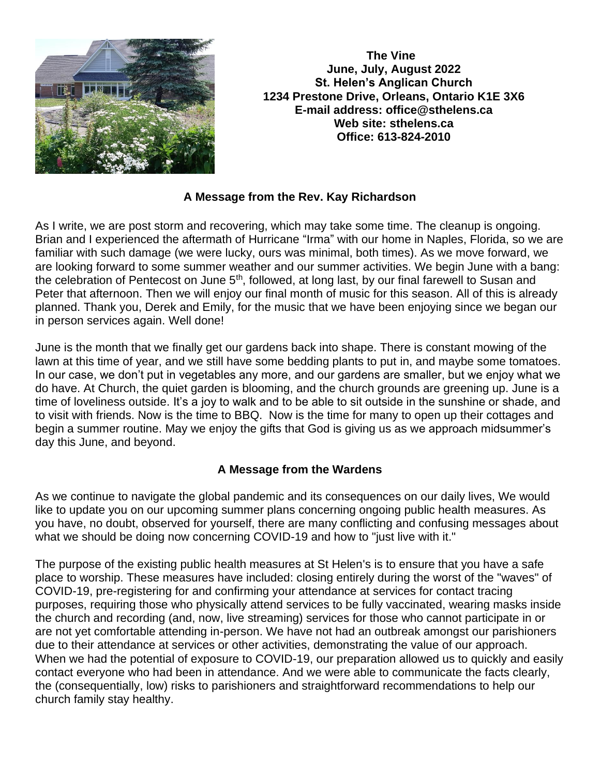

 **The Vine June, July, August 2022 St. Helen's Anglican Church 1234 Prestone Drive, Orleans, Ontario K1E 3X6 E-mail address: office@sthelens.ca Web site: sthelens.ca Office: 613-824-2010**

#### **A Message from the Rev. Kay Richardson**

As I write, we are post storm and recovering, which may take some time. The cleanup is ongoing. Brian and I experienced the aftermath of Hurricane "Irma" with our home in Naples, Florida, so we are familiar with such damage (we were lucky, ours was minimal, both times). As we move forward, we are looking forward to some summer weather and our summer activities. We begin June with a bang: the celebration of Pentecost on June 5<sup>th</sup>, followed, at long last, by our final farewell to Susan and Peter that afternoon. Then we will enjoy our final month of music for this season. All of this is already planned. Thank you, Derek and Emily, for the music that we have been enjoying since we began our in person services again. Well done!

June is the month that we finally get our gardens back into shape. There is constant mowing of the lawn at this time of year, and we still have some bedding plants to put in, and maybe some tomatoes. In our case, we don't put in vegetables any more, and our gardens are smaller, but we enjoy what we do have. At Church, the quiet garden is blooming, and the church grounds are greening up. June is a time of loveliness outside. It's a joy to walk and to be able to sit outside in the sunshine or shade, and to visit with friends. Now is the time to BBQ. Now is the time for many to open up their cottages and begin a summer routine. May we enjoy the gifts that God is giving us as we approach midsummer's day this June, and beyond.

#### **A Message from the Wardens**

As we continue to navigate the global pandemic and its consequences on our daily lives, We would like to update you on our upcoming summer plans concerning ongoing public health measures. As you have, no doubt, observed for yourself, there are many conflicting and confusing messages about what we should be doing now concerning COVID-19 and how to "just live with it."

The purpose of the existing public health measures at St Helen's is to ensure that you have a safe place to worship. These measures have included: closing entirely during the worst of the "waves" of COVID-19, pre-registering for and confirming your attendance at services for contact tracing purposes, requiring those who physically attend services to be fully vaccinated, wearing masks inside the church and recording (and, now, live streaming) services for those who cannot participate in or are not yet comfortable attending in-person. We have not had an outbreak amongst our parishioners due to their attendance at services or other activities, demonstrating the value of our approach. When we had the potential of exposure to COVID-19, our preparation allowed us to quickly and easily contact everyone who had been in attendance. And we were able to communicate the facts clearly, the (consequentially, low) risks to parishioners and straightforward recommendations to help our church family stay healthy.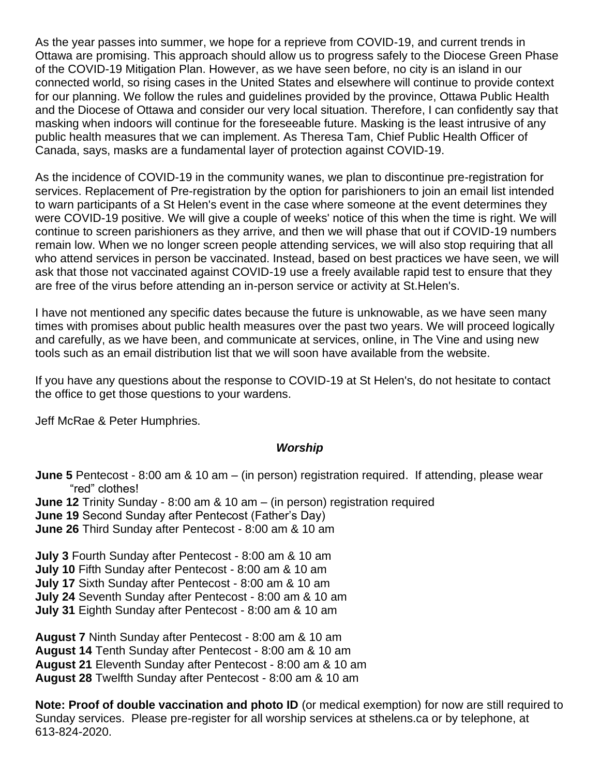As the year passes into summer, we hope for a reprieve from COVID-19, and current trends in Ottawa are promising. This approach should allow us to progress safely to the Diocese Green Phase of the COVID-19 Mitigation Plan. However, as we have seen before, no city is an island in our connected world, so rising cases in the United States and elsewhere will continue to provide context for our planning. We follow the rules and guidelines provided by the province, Ottawa Public Health and the Diocese of Ottawa and consider our very local situation. Therefore, I can confidently say that masking when indoors will continue for the foreseeable future. Masking is the least intrusive of any public health measures that we can implement. As Theresa Tam, Chief Public Health Officer of Canada, says, masks are a fundamental layer of protection against COVID-19.

As the incidence of COVID-19 in the community wanes, we plan to discontinue pre-registration for services. Replacement of Pre-registration by the option for parishioners to join an email list intended to warn participants of a St Helen's event in the case where someone at the event determines they were COVID-19 positive. We will give a couple of weeks' notice of this when the time is right. We will continue to screen parishioners as they arrive, and then we will phase that out if COVID-19 numbers remain low. When we no longer screen people attending services, we will also stop requiring that all who attend services in person be vaccinated. Instead, based on best practices we have seen, we will ask that those not vaccinated against COVID-19 use a freely available rapid test to ensure that they are free of the virus before attending an in-person service or activity at St.Helen's.

I have not mentioned any specific dates because the future is unknowable, as we have seen many times with promises about public health measures over the past two years. We will proceed logically and carefully, as we have been, and communicate at services, online, in The Vine and using new tools such as an email distribution list that we will soon have available from the website.

If you have any questions about the response to COVID-19 at St Helen's, do not hesitate to contact the office to get those questions to your wardens.

Jeff McRae & Peter Humphries.

#### *Worship*

**June 5** Pentecost - 8:00 am & 10 am – (in person) registration required. If attending, please wear "red" clothes!

**June 12** Trinity Sunday - 8:00 am & 10 am – (in person) registration required

**June 19** Second Sunday after Pentecost (Father's Day)

**June 26** Third Sunday after Pentecost - 8:00 am & 10 am

**July 3** Fourth Sunday after Pentecost - 8:00 am & 10 am

**July 10** Fifth Sunday after Pentecost - 8:00 am & 10 am

**July 17** Sixth Sunday after Pentecost - 8:00 am & 10 am

**July 24** Seventh Sunday after Pentecost - 8:00 am & 10 am

**July 31** Eighth Sunday after Pentecost - 8:00 am & 10 am

**August 7** Ninth Sunday after Pentecost - 8:00 am & 10 am

**August 14** Tenth Sunday after Pentecost - 8:00 am & 10 am

**August 21** Eleventh Sunday after Pentecost - 8:00 am & 10 am

**August 28** Twelfth Sunday after Pentecost - 8:00 am & 10 am

**Note: Proof of double vaccination and photo ID** (or medical exemption) for now are still required to Sunday services. Please pre-register for all worship services at sthelens.ca or by telephone, at 613-824-2020.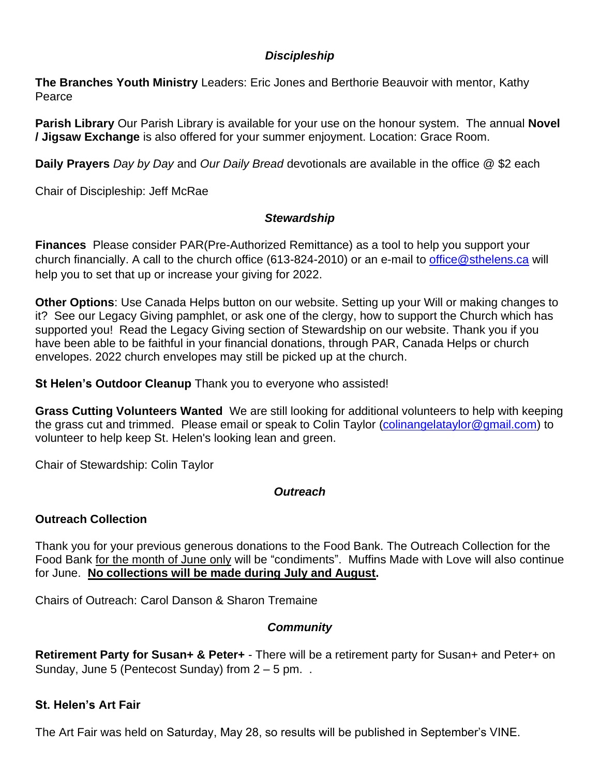### *Discipleship*

**The Branches Youth Ministry** Leaders: Eric Jones and Berthorie Beauvoir with mentor, Kathy Pearce

**Parish Library** Our Parish Library is available for your use on the honour system. The annual **Novel / Jigsaw Exchange** is also offered for your summer enjoyment. Location: Grace Room.

**Daily Prayers** *Day by Day* and *Our Daily Bread* devotionals are available in the office @ \$2 each

Chair of Discipleship: Jeff McRae

### *Stewardship*

**Finances** Please consider PAR(Pre-Authorized Remittance) as a tool to help you support your church financially. A call to the church office (613-824-2010) or an e-mail to [office@sthelens.ca](mailto:office@sthelens.ca) will help you to set that up or increase your giving for 2022.

**Other Options**: Use Canada Helps button on our website. Setting up your Will or making changes to it? See our Legacy Giving pamphlet, or ask one of the clergy, how to support the Church which has supported you! Read the Legacy Giving section of Stewardship on our website. Thank you if you have been able to be faithful in your financial donations, through PAR, Canada Helps or church envelopes. 2022 church envelopes may still be picked up at the church.

**St Helen's Outdoor Cleanup** Thank you to everyone who assisted!

**Grass Cutting Volunteers Wanted** We are still looking for additional volunteers to help with keeping the grass cut and trimmed. Please email or speak to Colin Taylor [\(colinangelataylor@gmail.com\)](mailto:colinangelataylor@gmail.com) to volunteer to help keep St. Helen's looking lean and green.

Chair of Stewardship: Colin Taylor

# *Outreach*

# **Outreach Collection**

Thank you for your previous generous donations to the Food Bank. The Outreach Collection for the Food Bank for the month of June only will be "condiments". Muffins Made with Love will also continue for June. **No collections will be made during July and August.**

Chairs of Outreach: Carol Danson & Sharon Tremaine

# *Community*

**Retirement Party for Susan+ & Peter+** - There will be a retirement party for Susan+ and Peter+ on Sunday, June 5 (Pentecost Sunday) from  $2 - 5$  pm. .

# **St. Helen's Art Fair**

The Art Fair was held on Saturday, May 28, so results will be published in September's VINE.